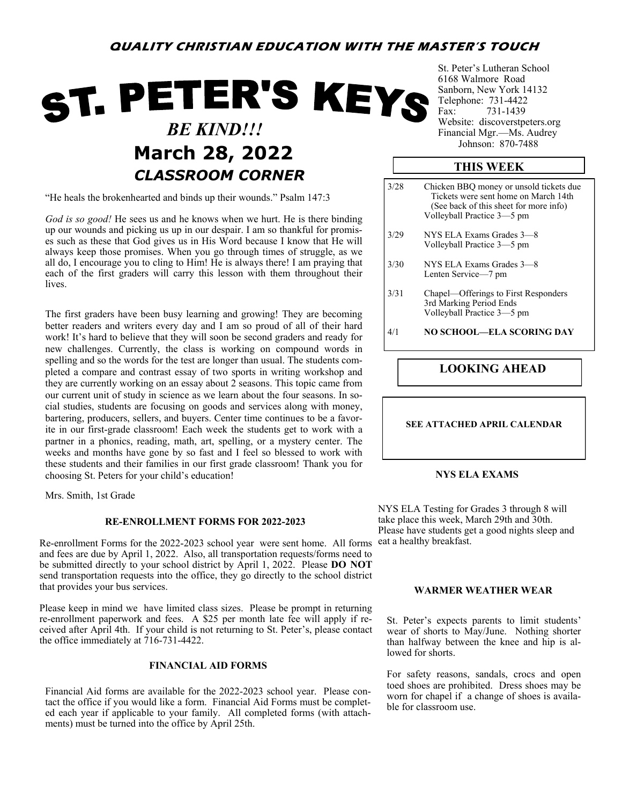# **QUALITY CHRISTIAN EDUCATION WITH THE MASTER'S TOUCH**

# ST. PETER'S KEYS  *BE KIND!!!* **March 28, 2022** *CLASSROOM CORNER*

"He heals the brokenhearted and binds up their wounds." Psalm 147:3

*God is so good!* He sees us and he knows when we hurt. He is there binding up our wounds and picking us up in our despair. I am so thankful for promises such as these that God gives us in His Word because I know that He will always keep those promises. When you go through times of struggle, as we all do, I encourage you to cling to Him! He is always there! I am praying that each of the first graders will carry this lesson with them throughout their lives.

The first graders have been busy learning and growing! They are becoming better readers and writers every day and I am so proud of all of their hard work! It's hard to believe that they will soon be second graders and ready for new challenges. Currently, the class is working on compound words in spelling and so the words for the test are longer than usual. The students completed a compare and contrast essay of two sports in writing workshop and they are currently working on an essay about 2 seasons. This topic came from our current unit of study in science as we learn about the four seasons. In social studies, students are focusing on goods and services along with money, bartering, producers, sellers, and buyers. Center time continues to be a favorite in our first-grade classroom! Each week the students get to work with a partner in a phonics, reading, math, art, spelling, or a mystery center. The weeks and months have gone by so fast and I feel so blessed to work with these students and their families in our first grade classroom! Thank you for choosing St. Peters for your child's education!

Mrs. Smith, 1st Grade

#### **RE-ENROLLMENT FORMS FOR 2022-2023**

Re-enrollment Forms for the 2022-2023 school year were sent home. All forms and fees are due by April 1, 2022. Also, all transportation requests/forms need to be submitted directly to your school district by April 1, 2022. Please **DO NOT**  send transportation requests into the office, they go directly to the school district that provides your bus services.

Please keep in mind we have limited class sizes. Please be prompt in returning re-enrollment paperwork and fees. A \$25 per month late fee will apply if received after April 4th. If your child is not returning to St. Peter's, please contact the office immediately at 716-731-4422.

#### **FINANCIAL AID FORMS**

Financial Aid forms are available for the 2022-2023 school year. Please contact the office if you would like a form. Financial Aid Forms must be completed each year if applicable to your family. All completed forms (with attachments) must be turned into the office by April 25th.

St. Peter's Lutheran School 6168 Walmore Road Sanborn, New York 14132 Telephone: 731-4422 Fax: 731-1439 Website: discoverstpeters.org Financial Mgr.—Ms. Audrey<br>Johnson: 870-7488

### **THIS WEEK**

3/28 Chicken BBQ money or unsold tickets due Tickets were sent home on March 14th (See back of this sheet for more info) Volleyball Practice 3—5 pm 3/29 NYS ELA Exams Grades 3—8 Volleyball Practice 3—5 pm 3/30 NYS ELA Exams Grades 3—8 Lenten Service—7 pm 3/31 Chapel—Offerings to First Responders 3rd Marking Period Ends Volleyball Practice 3—5 pm 4/1 **NO SCHOOL—ELA SCORING DAY**

## **LOOKING AHEAD**

#### **SEE ATTACHED APRIL CALENDAR**

#### **NYS ELA EXAMS**

NYS ELA Testing for Grades 3 through 8 will take place this week, March 29th and 30th. Please have students get a good nights sleep and eat a healthy breakfast.

#### **WARMER WEATHER WEAR**

St. Peter's expects parents to limit students' wear of shorts to May/June. Nothing shorter than halfway between the knee and hip is allowed for shorts.

For safety reasons, sandals, crocs and open toed shoes are prohibited. Dress shoes may be worn for chapel if a change of shoes is available for classroom use.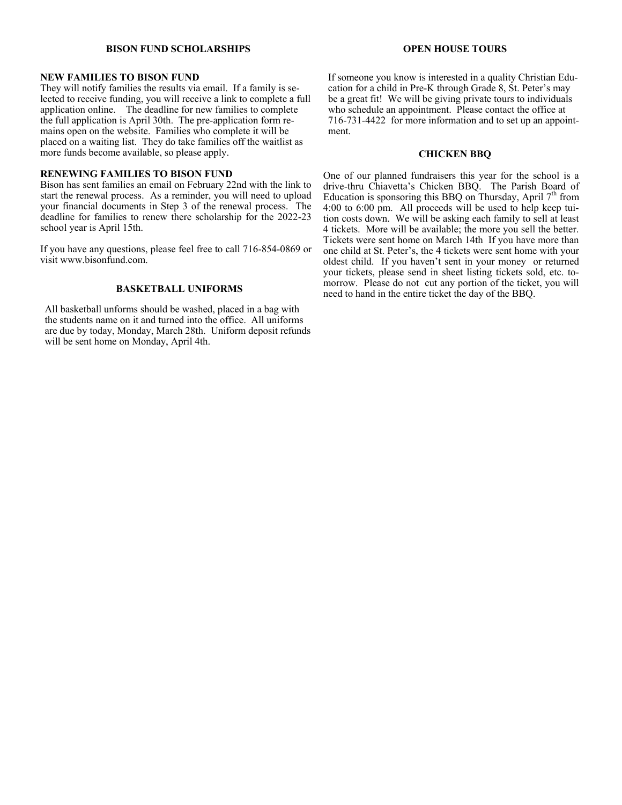#### **BISON FUND SCHOLARSHIPS**

#### **NEW FAMILIES TO BISON FUND**

They will notify families the results via email. If a family is selected to receive funding, you will receive a link to complete a full application online. The deadline for new families to complete the full application is April 30th. The pre-application form remains open on the website. Families who complete it will be placed on a waiting list. They do take families off the waitlist as more funds become available, so please apply.

#### **RENEWING FAMILIES TO BISON FUND**

Bison has sent families an email on February 22nd with the link to start the renewal process. As a reminder, you will need to upload your financial documents in Step 3 of the renewal process. The deadline for families to renew there scholarship for the 2022-23 school year is April 15th.

If you have any questions, please feel free to call 716-854-0869 or visit www.bisonfund.com.

#### **BASKETBALL UNIFORMS**

All basketball unforms should be washed, placed in a bag with the students name on it and turned into the office. All uniforms are due by today, Monday, March 28th. Uniform deposit refunds will be sent home on Monday, April 4th.

#### **OPEN HOUSE TOURS**

If someone you know is interested in a quality Christian Education for a child in Pre-K through Grade 8, St. Peter's may be a great fit! We will be giving private tours to individuals who schedule an appointment. Please contact the office at 716-731-4422 for more information and to set up an appointment.

#### **CHICKEN BBQ**

One of our planned fundraisers this year for the school is a drive-thru Chiavetta's Chicken BBQ. The Parish Board of Education is sponsoring this BBQ on Thursday, April  $7<sup>th</sup>$  from 4:00 to 6:00 pm. All proceeds will be used to help keep tuition costs down. We will be asking each family to sell at least 4 tickets. More will be available; the more you sell the better. Tickets were sent home on March 14th If you have more than one child at St. Peter's, the 4 tickets were sent home with your oldest child. If you haven't sent in your money or returned your tickets, please send in sheet listing tickets sold, etc. tomorrow. Please do not cut any portion of the ticket, you will need to hand in the entire ticket the day of the BBQ.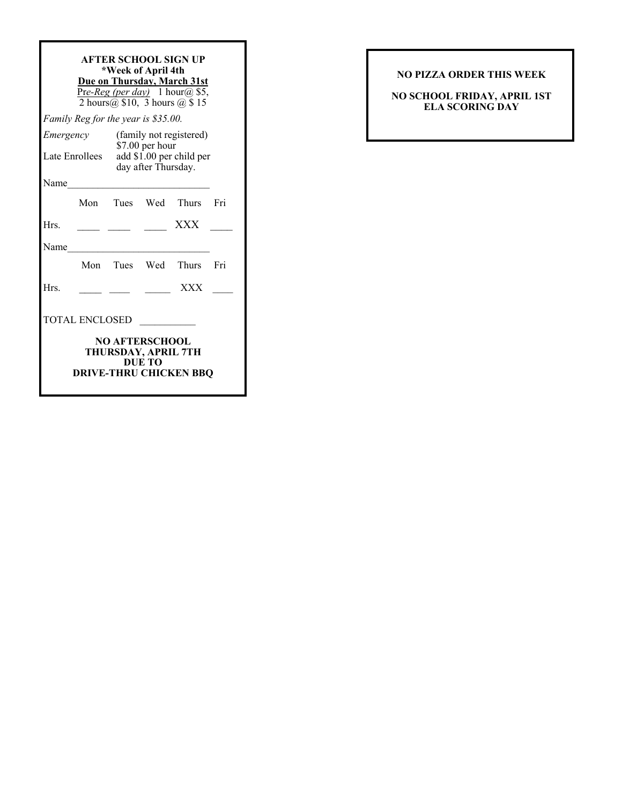| AFTER SCHOOL SIGN UP<br>*Week of April 4th<br>Due on Thursday, March 31st<br>Pre-Reg (per day) 1 hour@ \$5,<br>2 hours $(a)$ \$10, 3 hours $(a)$ \$15 |  |                                                                    |                    |                        |     |
|-------------------------------------------------------------------------------------------------------------------------------------------------------|--|--------------------------------------------------------------------|--------------------|------------------------|-----|
| Family Reg for the year is \$35.00.                                                                                                                   |  |                                                                    |                    |                        |     |
| Emergency                                                                                                                                             |  | (family not registered)                                            |                    |                        |     |
| Late Enrollees                                                                                                                                        |  | \$7.00 per hour<br>add \$1.00 per child per<br>day after Thursday. |                    |                        |     |
| Name                                                                                                                                                  |  |                                                                    |                    |                        |     |
|                                                                                                                                                       |  |                                                                    |                    | Mon Tues Wed Thurs Fri |     |
| Hrs.                                                                                                                                                  |  |                                                                    |                    | <b>XXX</b>             |     |
| Name                                                                                                                                                  |  |                                                                    |                    |                        |     |
|                                                                                                                                                       |  |                                                                    | Mon Tues Wed Thurs |                        | Fri |
| Hrs.                                                                                                                                                  |  |                                                                    |                    | <b>XXX</b>             |     |
| <b>TOTAL ENCLOSED</b>                                                                                                                                 |  |                                                                    |                    |                        |     |
| <b>NO AFTERSCHOOL</b><br>THURSDAY, APRIL 7TH<br>DUE TO<br><b>DRIVE-THRU CHICKEN BBO</b>                                                               |  |                                                                    |                    |                        |     |

# **NO PIZZA ORDER THIS WEEK**

**NO SCHOOL FRIDAY, APRIL 1ST ELA SCORING DAY**